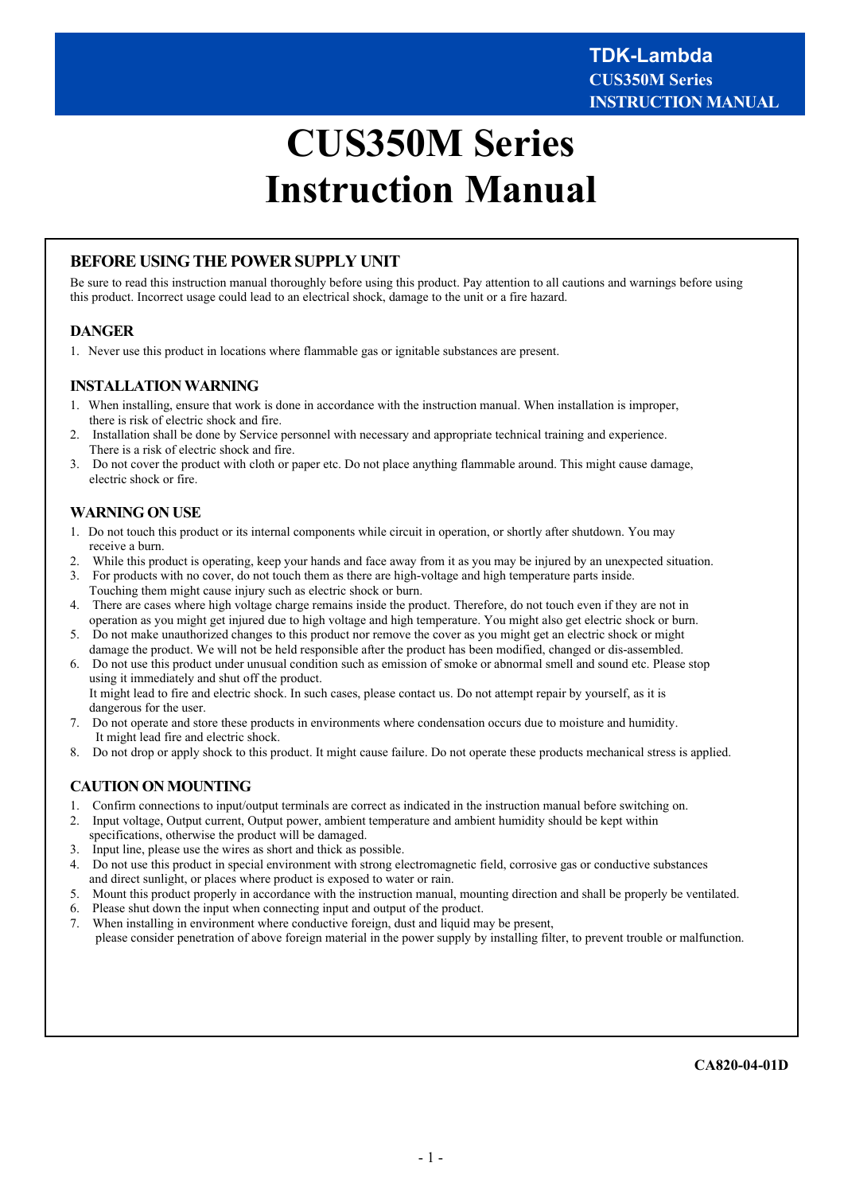# **CUS350M Series Instruction Manual**

# **BEFORE USING THE POWER SUPPLY UNIT**

Be sure to read this instruction manual thoroughly before using this product. Pay attention to all cautions and warnings before using this product. Incorrect usage could lead to an electrical shock, damage to the unit or a fire hazard.

#### **DANGER**

1. Never use this product in locations where flammable gas or ignitable substances are present.

# **INSTALLATION WARNING**

- 1. When installing, ensure that work is done in accordance with the instruction manual. When installation is improper, there is risk of electric shock and fire.
- 2. Installation shall be done by Service personnel with necessary and appropriate technical training and experience. There is a risk of electric shock and fire.
- 3. Do not cover the product with cloth or paper etc. Do not place anything flammable around. This might cause damage, electric shock or fire.

# **WARNING ON USE**

- 1. Do not touch this product or its internal components while circuit in operation, or shortly after shutdown. You may receive a burn.
- 2. While this product is operating, keep your hands and face away from it as you may be injured by an unexpected situation.
- 3. For products with no cover, do not touch them as there are high-voltage and high temperature parts inside. Touching them might cause injury such as electric shock or burn.
- 4. There are cases where high voltage charge remains inside the product. Therefore, do not touch even if they are not in operation as you might get injured due to high voltage and high temperature. You might also get electric shock or burn.
- 5. Do not make unauthorized changes to this product nor remove the cover as you might get an electric shock or might damage the product. We will not be held responsible after the product has been modified, changed or dis-assembled.
- 6. Do not use this product under unusual condition such as emission of smoke or abnormal smell and sound etc. Please stop using it immediately and shut off the product. It might lead to fire and electric shock. In such cases, please contact us. Do not attempt repair by yourself, as it is dangerous for the user.
- 7. Do not operate and store these products in environments where condensation occurs due to moisture and humidity. It might lead fire and electric shock.
- 8. Do not drop or apply shock to this product. It might cause failure. Do not operate these products mechanical stress is applied.

# **CAUTION ON MOUNTING**

- 1. Confirm connections to input/output terminals are correct as indicated in the instruction manual before switching on.
- 2. Input voltage, Output current, Output power, ambient temperature and ambient humidity should be kept within specifications, otherwise the product will be damaged.
- 3. Input line, please use the wires as short and thick as possible.
- 4. Do not use this product in special environment with strong electromagnetic field, corrosive gas or conductive substances and direct sunlight, or places where product is exposed to water or rain.
- 5. Mount this product properly in accordance with the instruction manual, mounting direction and shall be properly be ventilated.
- 6. Please shut down the input when connecting input and output of the product.
- 7. When installing in environment where conductive foreign, dust and liquid may be present, please consider penetration of above foreign material in the power supply by installing filter, to prevent trouble or malfunction.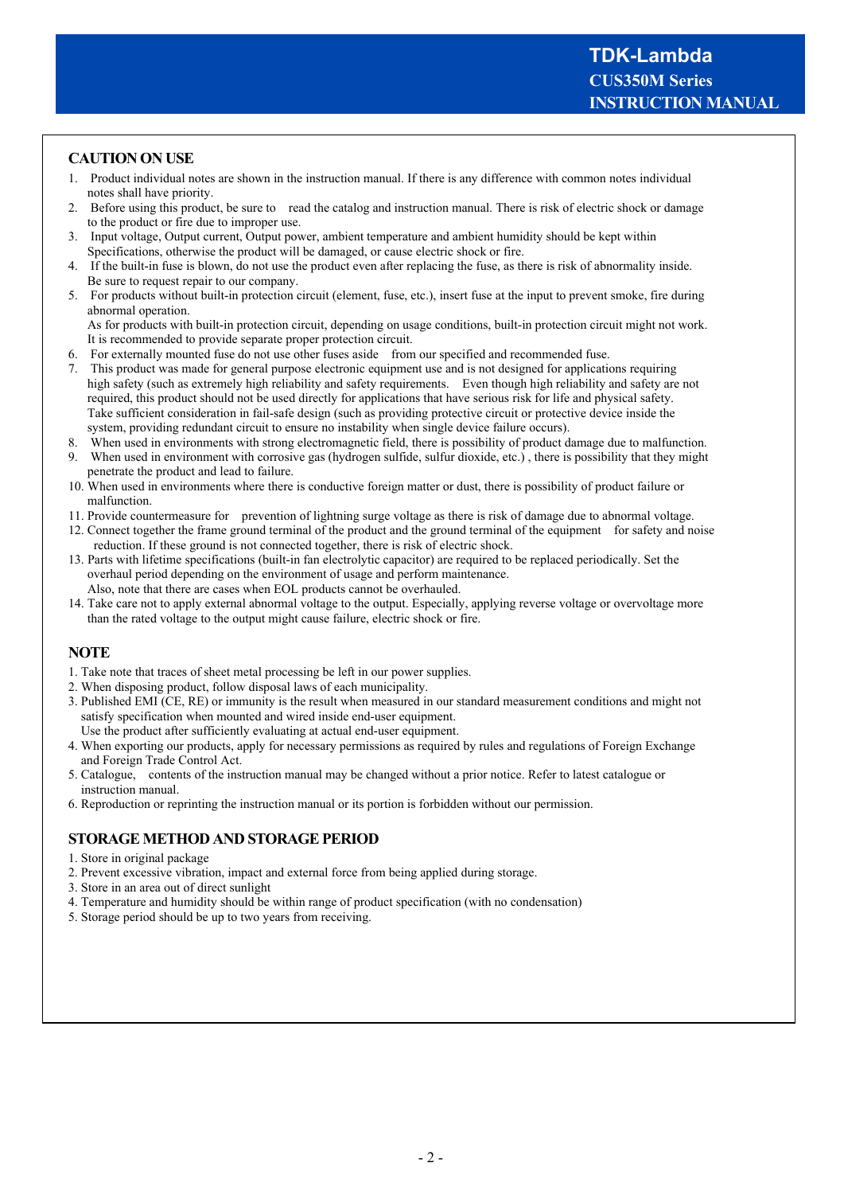# **CAUTION ON USE**

- 1. Product individual notes are shown in the instruction manual. If there is any difference with common notes individual notes shall have priority.
- 2. Before using this product, be sure to read the catalog and instruction manual. There is risk of electric shock or damage to the product or fire due to improper use.
- 3. Input voltage, Output current, Output power, ambient temperature and ambient humidity should be kept within Specifications, otherwise the product will be damaged, or cause electric shock or fire.
- 4. If the built-in fuse is blown, do not use the product even after replacing the fuse, as there is risk of abnormality inside. Be sure to request repair to our company.
- 5. For products without built-in protection circuit (element, fuse, etc.), insert fuse at the input to prevent smoke, fire during abnormal operation.

 As for products with built-in protection circuit, depending on usage conditions, built-in protection circuit might not work. It is recommended to provide separate proper protection circuit.

- 6. For externally mounted fuse do not use other fuses aside from our specified and recommended fuse.
- 7. This product was made for general purpose electronic equipment use and is not designed for applications requiring high safety (such as extremely high reliability and safety requirements. Even though high reliability and safety are not required, this product should not be used directly for applications that have serious risk for life and physical safety. Take sufficient consideration in fail-safe design (such as providing protective circuit or protective device inside the system, providing redundant circuit to ensure no instability when single device failure occurs).
- 8. When used in environments with strong electromagnetic field, there is possibility of product damage due to malfunction. 9. When used in environment with corrosive gas (hydrogen sulfide, sulfur dioxide, etc.) , there is possibility that they might penetrate the product and lead to failure.
- 10. When used in environments where there is conductive foreign matter or dust, there is possibility of product failure or malfunction.
- 11. Provide countermeasure for prevention of lightning surge voltage as there is risk of damage due to abnormal voltage.
- 12. Connect together the frame ground terminal of the product and the ground terminal of the equipment for safety and noise reduction. If these ground is not connected together, there is risk of electric shock.
- 13. Parts with lifetime specifications (built-in fan electrolytic capacitor) are required to be replaced periodically. Set the overhaul period depending on the environment of usage and perform maintenance. Also, note that there are cases when EOL products cannot be overhauled.
- 14. Take care not to apply external abnormal voltage to the output. Especially, applying reverse voltage or overvoltage more than the rated voltage to the output might cause failure, electric shock or fire.

#### **NOTE**

- 1. Take note that traces of sheet metal processing be left in our power supplies.
- 2. When disposing product, follow disposal laws of each municipality.
- 3. Published EMI (CE, RE) or immunity is the result when measured in our standard measurement conditions and might not satisfy specification when mounted and wired inside end-user equipment. Use the product after sufficiently evaluating at actual end-user equipment.
- 4. When exporting our products, apply for necessary permissions as required by rules and regulations of Foreign Exchange and Foreign Trade Control Act.
- 5. Catalogue, contents of the instruction manual may be changed without a prior notice. Refer to latest catalogue or instruction manual.
- 6. Reproduction or reprinting the instruction manual or its portion is forbidden without our permission.

### **STORAGE METHOD AND STORAGE PERIOD**

- 1. Store in original package
- 2. Prevent excessive vibration, impact and external force from being applied during storage.
- 3. Store in an area out of direct sunlight
- 4. Temperature and humidity should be within range of product specification (with no condensation)
- 5. Storage period should be up to two years from receiving.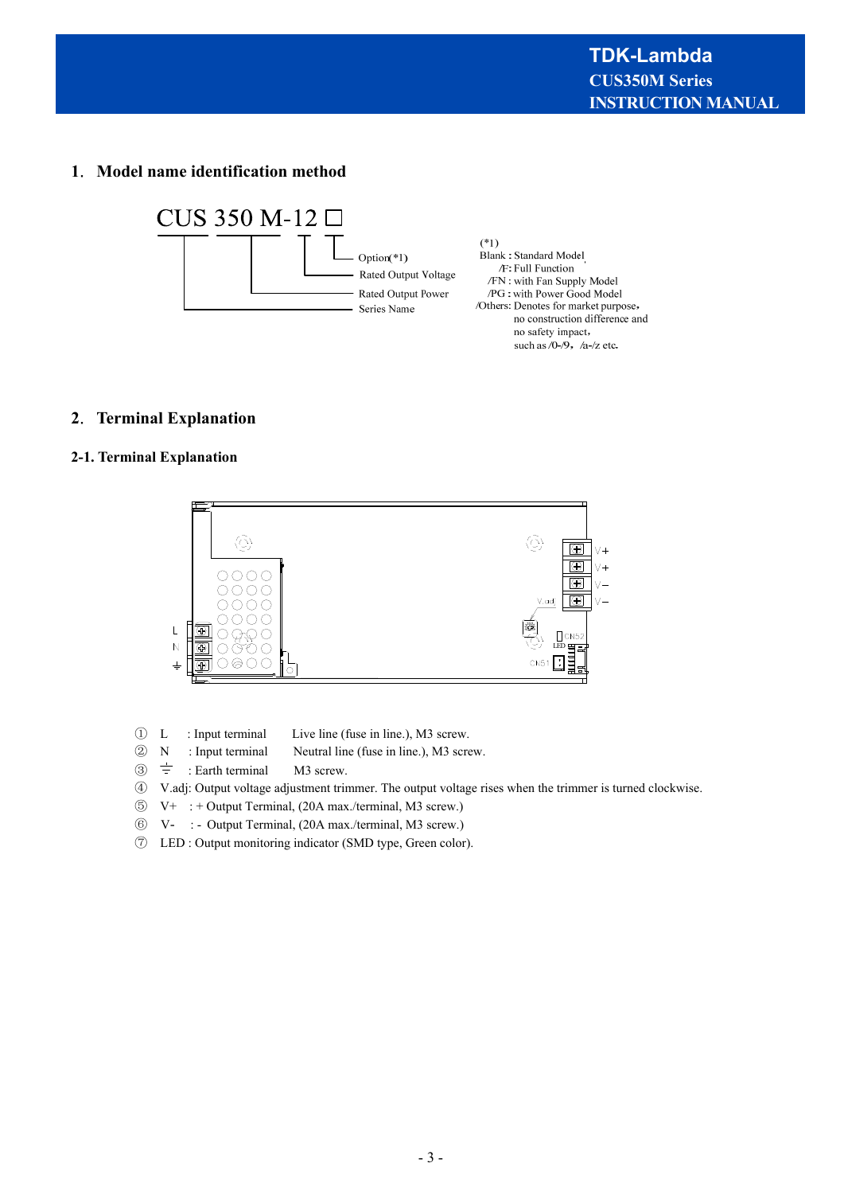# **1**.**Model name identification method**



# **2**.**Terminal Explanation**

## **2-1. Terminal Explanation**



- ① L : Input terminal Live line (fuse in line.), M3 screw.
- ② N : Input terminal Neutral line (fuse in line.), M3 screw.
- $\circled{3}$   $\stackrel{\rightharpoonup}{=}$  : Earth terminal M3 screw.
- ④ V.adj: Output voltage adjustment trimmer. The output voltage rises when the trimmer is turned clockwise.
- ⑤ V+ : + Output Terminal, (20A max./terminal, M3 screw.)
- ⑥ V- : Output Terminal, (20A max./terminal, M3 screw.)
- ⑦ LED : Output monitoring indicator (SMD type, Green color).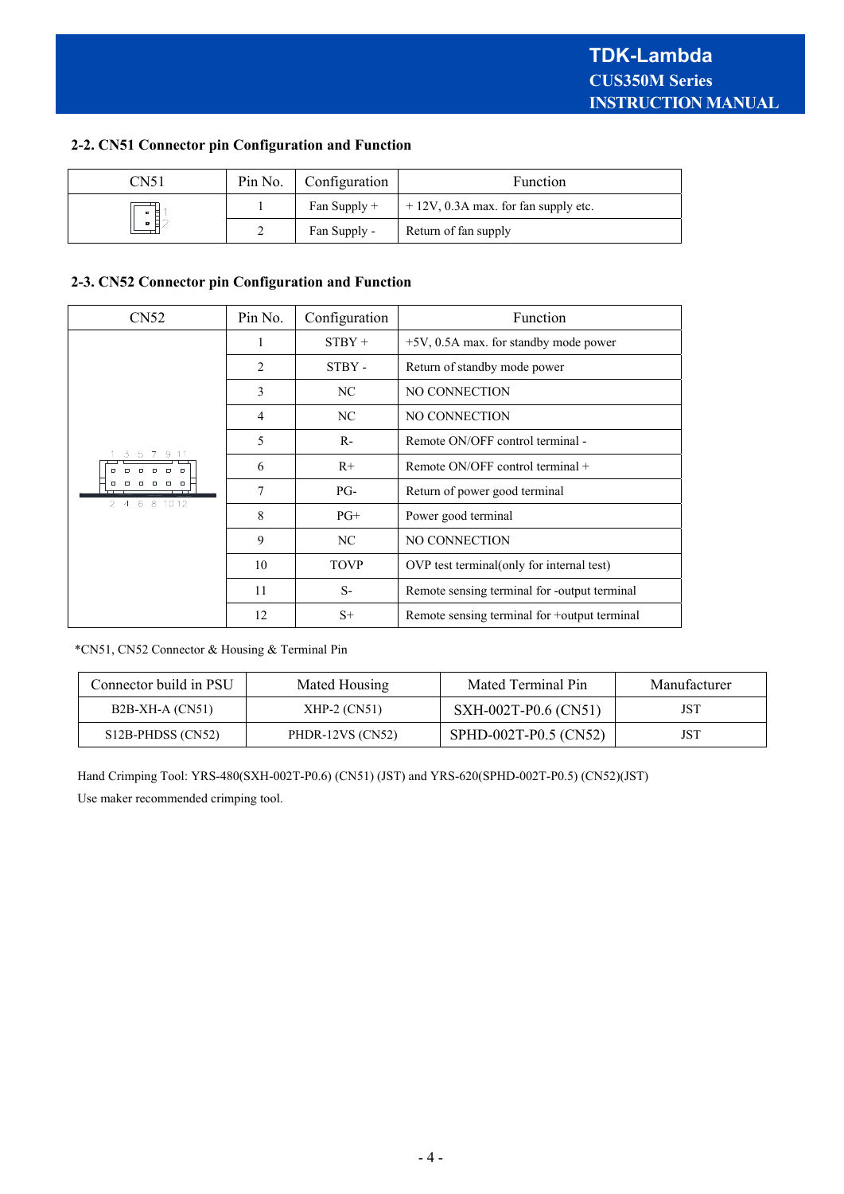# **2-2. CN51 Connector pin Configuration and Function**

| CN51         | Pin No. | Configuration  | Function                               |  |
|--------------|---------|----------------|----------------------------------------|--|
| п<br>н<br>Н. |         | Fan Supply $+$ | $+12V$ , 0.3A max. for fan supply etc. |  |
|              |         | Fan Supply -   | Return of fan supply                   |  |

# **2-3. CN52 Connector pin Configuration and Function**

| CN <sub>52</sub>                                                                                                                                            | Pin No.                     | Configuration | Function                                     |  |
|-------------------------------------------------------------------------------------------------------------------------------------------------------------|-----------------------------|---------------|----------------------------------------------|--|
| 3<br>9 1 1<br>-5<br>$\Box$<br>$\Box$<br>$\Box$<br>$\Box$<br>$\Box$<br>$\Box$<br>$\Box$<br>$\Box\quad \Box$<br>$\Box$<br>$\Box$<br>6 8 10 12<br>$2^{\circ}4$ |                             | $STBY +$      | $+5V$ , 0.5A max. for standby mode power     |  |
|                                                                                                                                                             | $\mathcal{D}_{\mathcal{L}}$ | STBY -        | Return of standby mode power                 |  |
|                                                                                                                                                             | 3                           | NC.           | NO CONNECTION                                |  |
|                                                                                                                                                             | 4                           | NC.           | NO CONNECTION                                |  |
|                                                                                                                                                             | 5                           | $R-$          | Remote ON/OFF control terminal -             |  |
|                                                                                                                                                             | 6                           | $R+$          | Remote ON/OFF control terminal $+$           |  |
|                                                                                                                                                             | 7                           | $PG-$         | Return of power good terminal                |  |
|                                                                                                                                                             | 8                           | $PG+$         | Power good terminal                          |  |
|                                                                                                                                                             | 9                           | NC.           | NO CONNECTION                                |  |
|                                                                                                                                                             | 10                          | <b>TOVP</b>   | OVP test terminal (only for internal test)   |  |
|                                                                                                                                                             | 11                          | $S-$          | Remote sensing terminal for -output terminal |  |
|                                                                                                                                                             | 12                          | $S+$          | Remote sensing terminal for +output terminal |  |

\*CN51, CN52 Connector & Housing & Terminal Pin

| Connector build in PSU | Mated Housing    | Mated Terminal Pin    | Manufacturer |
|------------------------|------------------|-----------------------|--------------|
| $B2B-XH-A (CN51)$      | $XHP-2 (CN51)$   | SXH-002T-P0.6 (CN51)  | JST          |
| S12B-PHDSS (CN52)      | PHDR-12VS (CN52) | SPHD-002T-P0.5 (CN52) | JST          |

 Hand Crimping Tool: YRS-480(SXH-002T-P0.6) (CN51) (JST) and YRS-620(SPHD-002T-P0.5) (CN52)(JST) Use maker recommended crimping tool.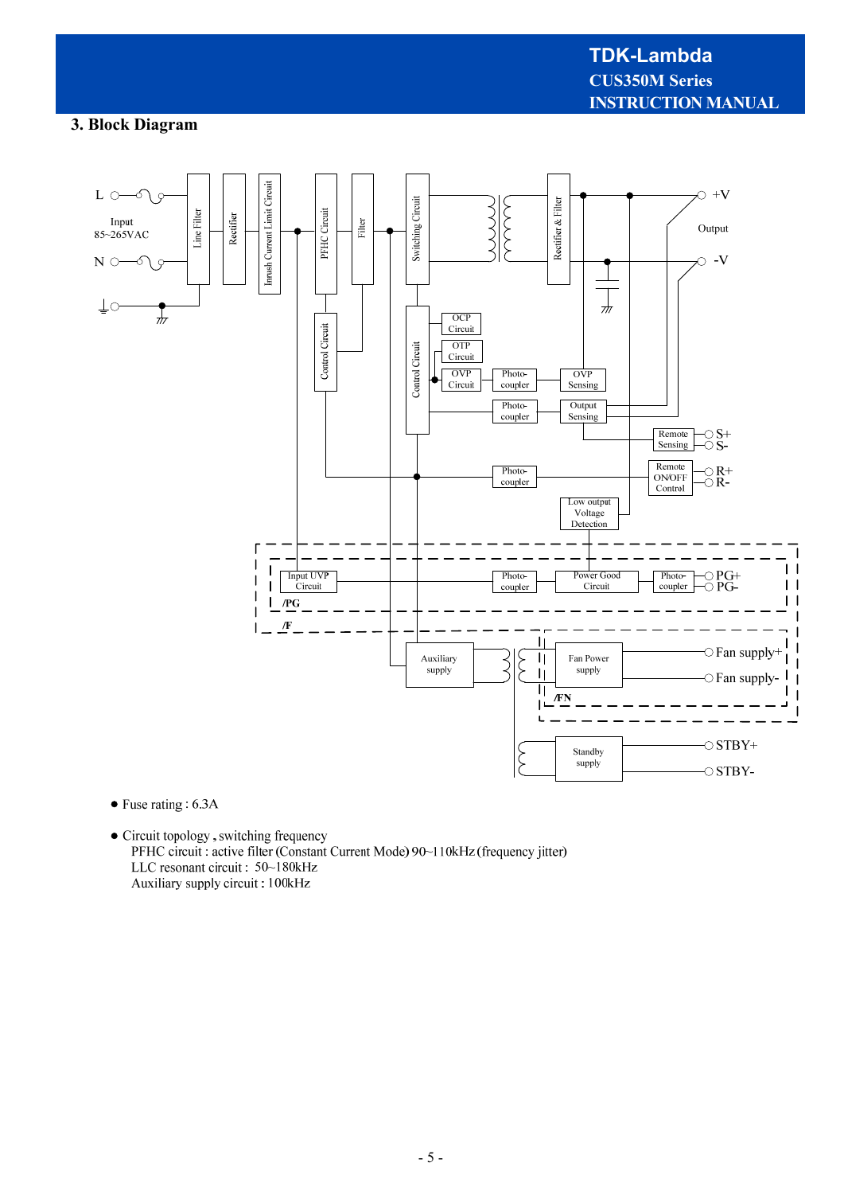# **TDK-Lambda CUS350M Series INSTRUCTION MANUAL**

# **3. Block Diagram**



- $\bullet$  Fuse rating : 6.3A
- $\bullet$  Circuit topology, switching frequency PFHC circuit : active filter (Constant Current Mode) 90~110kHz (frequency jitter) LLC resonant circuit : 50~180kHz Auxiliary supply circuit: 100kHz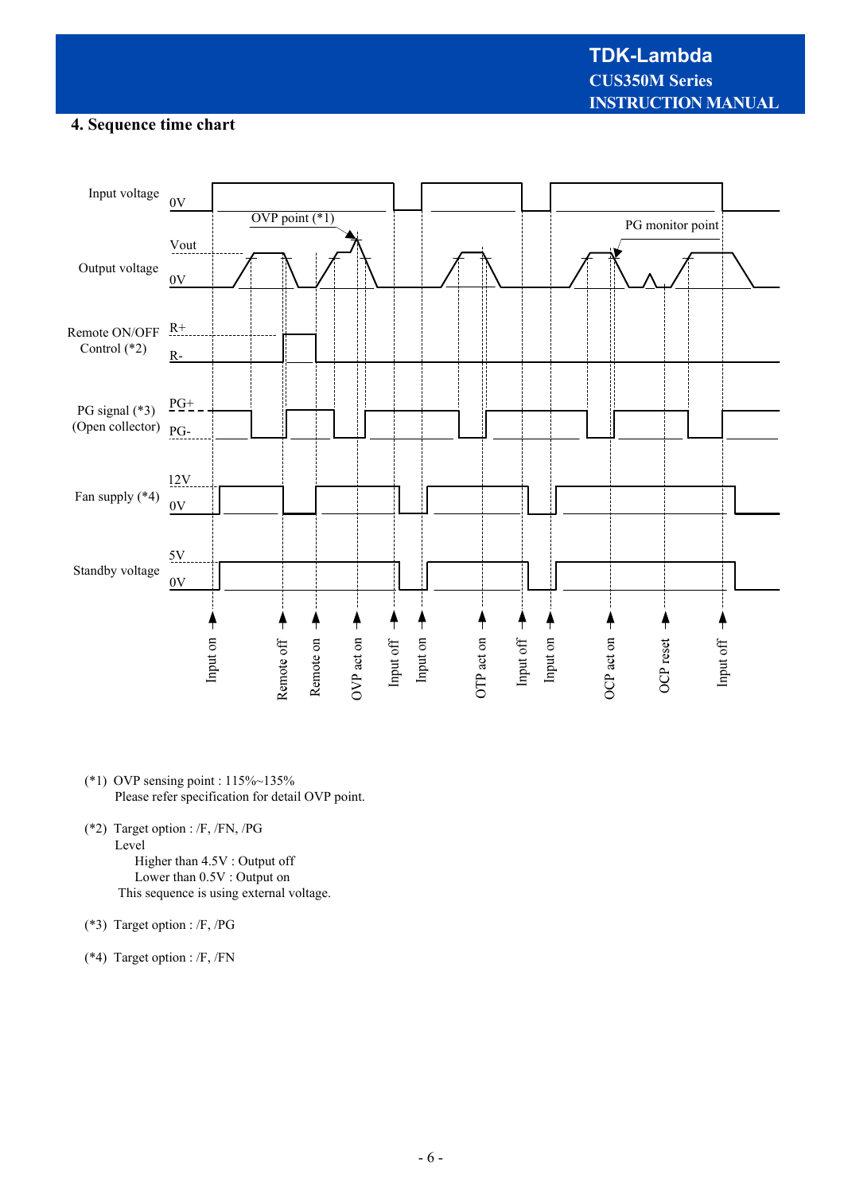# **4. Sequence time chart**



- (\*1) OVP sensing point : 115%~135% Please refer specification for detail OVP point.
- (\*2) Target option : /F, /FN, /PG Level Higher than 4.5V : Output off Lower than 0.5V : Output on This sequence is using external voltage.
- (\*3) Target option : /F, /PG
- (\*4) Target option : /F, /FN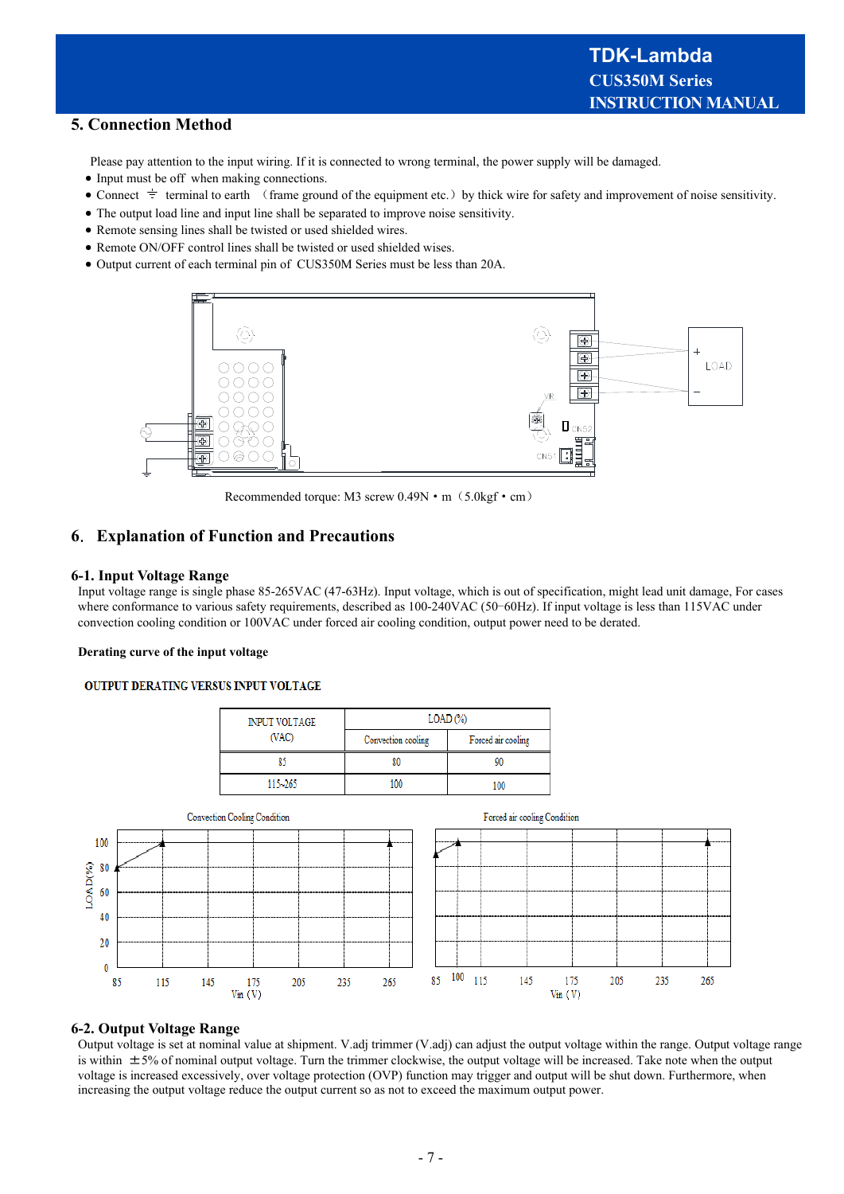# **5. Connection Method**

Please pay attention to the input wiring. If it is connected to wrong terminal, the power supply will be damaged.

- Input must be off when making connections.
- Connect  $\pm$  terminal to earth (frame ground of the equipment etc.) by thick wire for safety and improvement of noise sensitivity.
- The output load line and input line shall be separated to improve noise sensitivity.
- Remote sensing lines shall be twisted or used shielded wires.
- Remote ON/OFF control lines shall be twisted or used shielded wises.
- Output current of each terminal pin of CUS350M Series must be less than 20A.



Recommended torque: M3 screw  $0.49N \cdot m$  (5.0kgf  $\cdot$  cm)

# **6**.**Explanation of Function and Precautions**

#### **6-1. Input Voltage Range**

Input voltage range is single phase 85-265VAC (47-63Hz). Input voltage, which is out of specification, might lead unit damage, For cases where conformance to various safety requirements, described as 100-240VAC (50-60Hz). If input voltage is less than 115VAC under convection cooling condition or 100VAC under forced air cooling condition, output power need to be derated.

#### **Derating curve of the input voltage**

#### **OUTPUT DERATING VERSUS INPUT VOLTAGE**

| <b>INPUT VOLTAGE</b> | $LOAD$ $\left(\frac{9}{6}\right)$ |                    |  |
|----------------------|-----------------------------------|--------------------|--|
| (VAC)                | Convection cooling                | Forced air cooling |  |
| R۹                   | 80                                |                    |  |
| $115 - 265$          | 100                               | 1Μ                 |  |



#### **6-2. Output Voltage Range**

Output voltage is set at nominal value at shipment. V.adj trimmer (V.adj) can adjust the output voltage within the range. Output voltage range is within  $\pm$ 5% of nominal output voltage. Turn the trimmer clockwise, the output voltage will be increased. Take note when the output voltage is increased excessively, over voltage protection (OVP) function may trigger and output will be shut down. Furthermore, when increasing the output voltage reduce the output current so as not to exceed the maximum output power.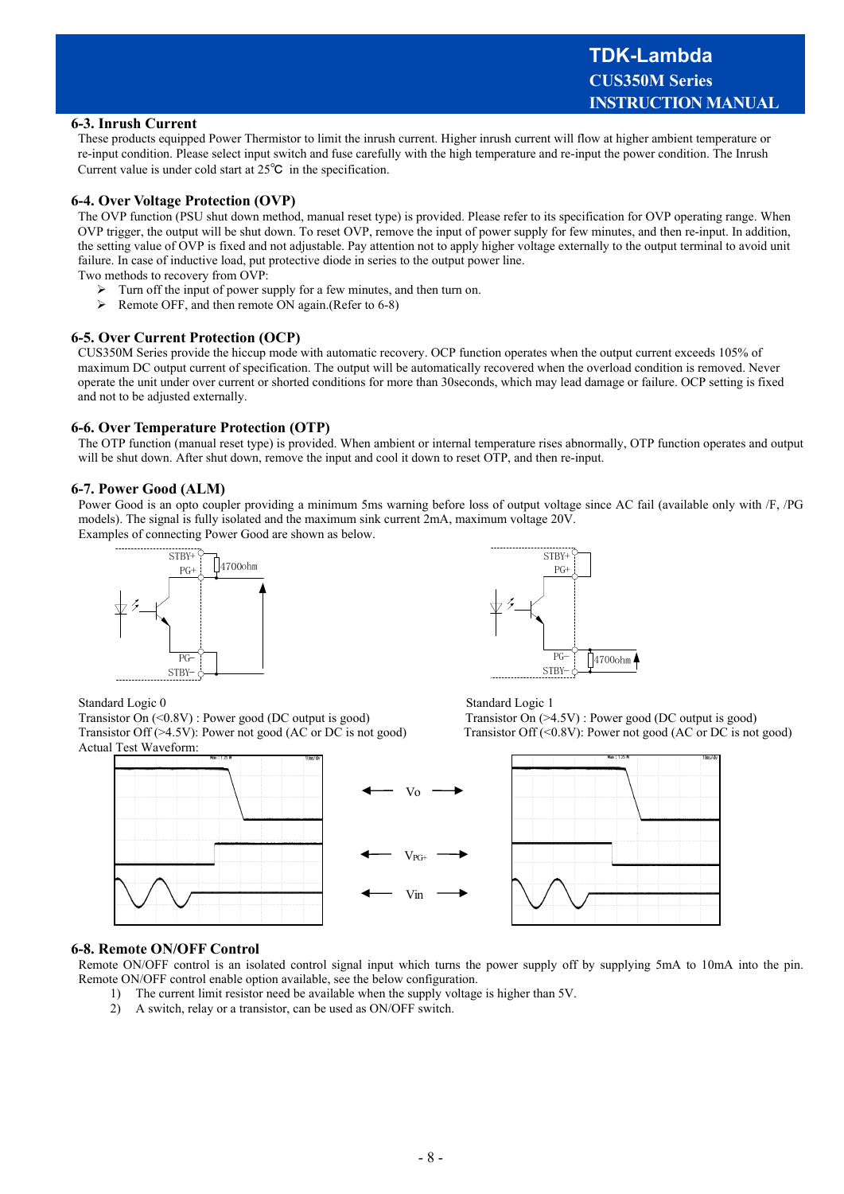#### **6-3. Inrush Current**

These products equipped Power Thermistor to limit the inrush current. Higher inrush current will flow at higher ambient temperature or re-input condition. Please select input switch and fuse carefully with the high temperature and re-input the power condition. The Inrush Current value is under cold start at 25℃ in the specification.

#### **6-4. Over Voltage Protection (OVP)**

The OVP function (PSU shut down method, manual reset type) is provided. Please refer to its specification for OVP operating range. When OVP trigger, the output will be shut down. To reset OVP, remove the input of power supply for few minutes, and then re-input. In addition, the setting value of OVP is fixed and not adjustable. Pay attention not to apply higher voltage externally to the output terminal to avoid unit failure. In case of inductive load, put protective diode in series to the output power line.

Two methods to recovery from OVP:

- $\triangleright$  Turn off the input of power supply for a few minutes, and then turn on.
- Remote OFF, and then remote ON again.(Refer to 6-8)

#### **6-5. Over Current Protection (OCP)**

CUS350M Series provide the hiccup mode with automatic recovery. OCP function operates when the output current exceeds 105% of maximum DC output current of specification. The output will be automatically recovered when the overload condition is removed. Never operate the unit under over current or shorted conditions for more than 30seconds, which may lead damage or failure. OCP setting is fixed and not to be adjusted externally.

#### **6-6. Over Temperature Protection (OTP)**

The OTP function (manual reset type) is provided. When ambient or internal temperature rises abnormally, OTP function operates and output will be shut down. After shut down, remove the input and cool it down to reset OTP, and then re-input.

#### **6-7. Power Good (ALM)**

Power Good is an opto coupler providing a minimum 5ms warning before loss of output voltage since AC fail (available only with /F, /PG models). The signal is fully isolated and the maximum sink current 2mA, maximum voltage 20V. Examples of connecting Power Good are shown as below.





Standard Logic 0 Standard Logic 1

Transistor On (<0.8V) : Power good (DC output is good) Transistor On (>4.5V) : Power good (DC output is good)<br>Transistor Off (<0.8V): Power not good (AC or DC is not good) Transistor Off (<0.8V): Power not good (AC or DC i Actual Test Waveform:





Transistor Off  $(<0.8V)$ : Power not good (AC or DC is not good)



#### **6-8. Remote ON/OFF Control**

Remote ON/OFF control is an isolated control signal input which turns the power supply off by supplying 5mA to 10mA into the pin. Remote ON/OFF control enable option available, see the below configuration.

- 1) The current limit resistor need be available when the supply voltage is higher than 5V.
- 2) A switch, relay or a transistor, can be used as ON/OFF switch.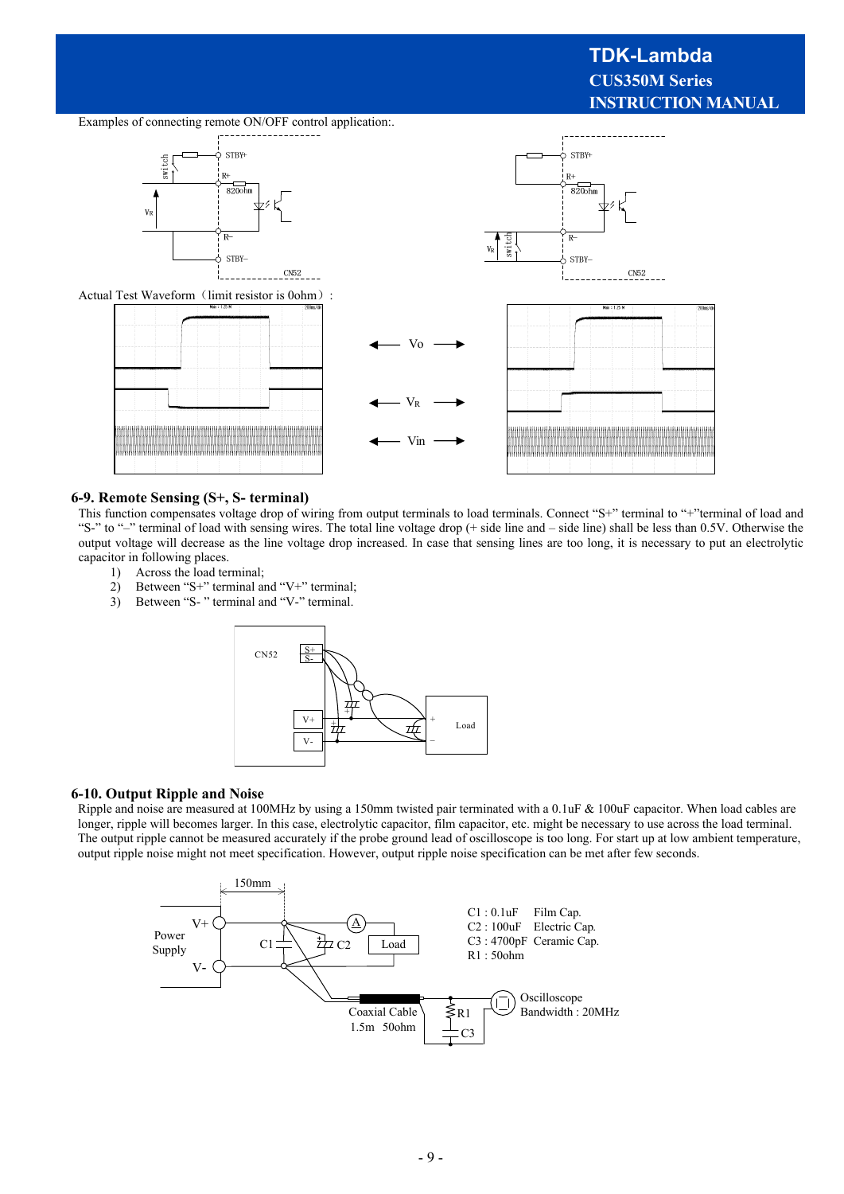# **TDK-Lambda CUS350M Series INSTRUCTION MANUAL**

Examples of connecting remote ON/OFF control application:.



Actual Test Waveform (limit resistor is 0ohm):



#### **6-9. Remote Sensing (S+, S- terminal)**

This function compensates voltage drop of wiring from output terminals to load terminals. Connect "S+" terminal to "+"terminal of load and "S-" to "-" terminal of load with sensing wires. The total line voltage drop (+ side line and – side line) shall be less than 0.5V. Otherwise the output voltage will decrease as the line voltage drop increased. In case that sensing lines are too long, it is necessary to put an electrolytic capacitor in following places.

VR

- 1) Across the load terminal;
- 2) Between "S+" terminal and "V+" terminal;
- 3) Between "S- " terminal and "V-" terminal.



#### **6-10. Output Ripple and Noise**

Ripple and noise are measured at 100MHz by using a 150mm twisted pair terminated with a 0.1uF & 100uF capacitor. When load cables are longer, ripple will becomes larger. In this case, electrolytic capacitor, film capacitor, etc. might be necessary to use across the load terminal. The output ripple cannot be measured accurately if the probe ground lead of oscilloscope is too long. For start up at low ambient temperature, output ripple noise might not meet specification. However, output ripple noise specification can be met after few seconds.

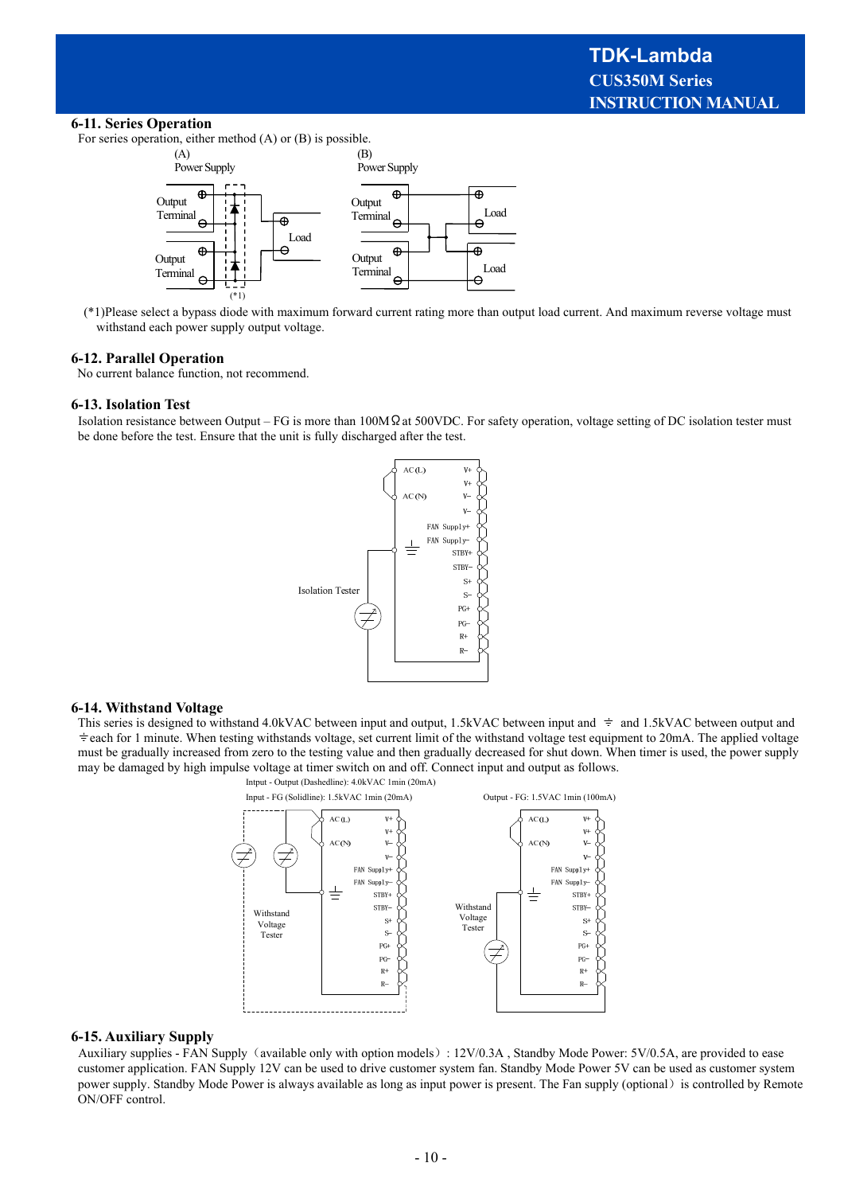#### **6-11. Series Operation**

For series operation, either method (A) or (B) is possible.



 (\*1)Please select a bypass diode with maximum forward current rating more than output load current. And maximum reverse voltage must withstand each power supply output voltage.

#### **6-12. Parallel Operation**

No current balance function, not recommend.

#### **6-13. Isolation Test**

Isolation resistance between Output – FG is more than 100MΩat 500VDC. For safety operation, voltage setting of DC isolation tester must be done before the test. Ensure that the unit is fully discharged after the test.



#### **6-14. Withstand Voltage**

This series is designed to withstand 4.0kVAC between input and output, 1.5kVAC between input and  $\pm$  and 1.5kVAC between output and each for 1 minute. When testing withstands voltage, set current limit of the withstand voltage test equipment to 20mA. The applied voltage must be gradually increased from zero to the testing value and then gradually decreased for shut down. When timer is used, the power supply may be damaged by high impulse voltage at timer switch on and off. Connect input and output as follows.



#### **6-15. Auxiliary Supply**

Auxiliary supplies - FAN Supply (available only with option models): 12V/0.3A, Standby Mode Power: 5V/0.5A, are provided to ease customer application. FAN Supply 12V can be used to drive customer system fan. Standby Mode Power 5V can be used as customer system power supply. Standby Mode Power is always available as long as input power is present. The Fan supply (optional) is controlled by Remote ON/OFF control.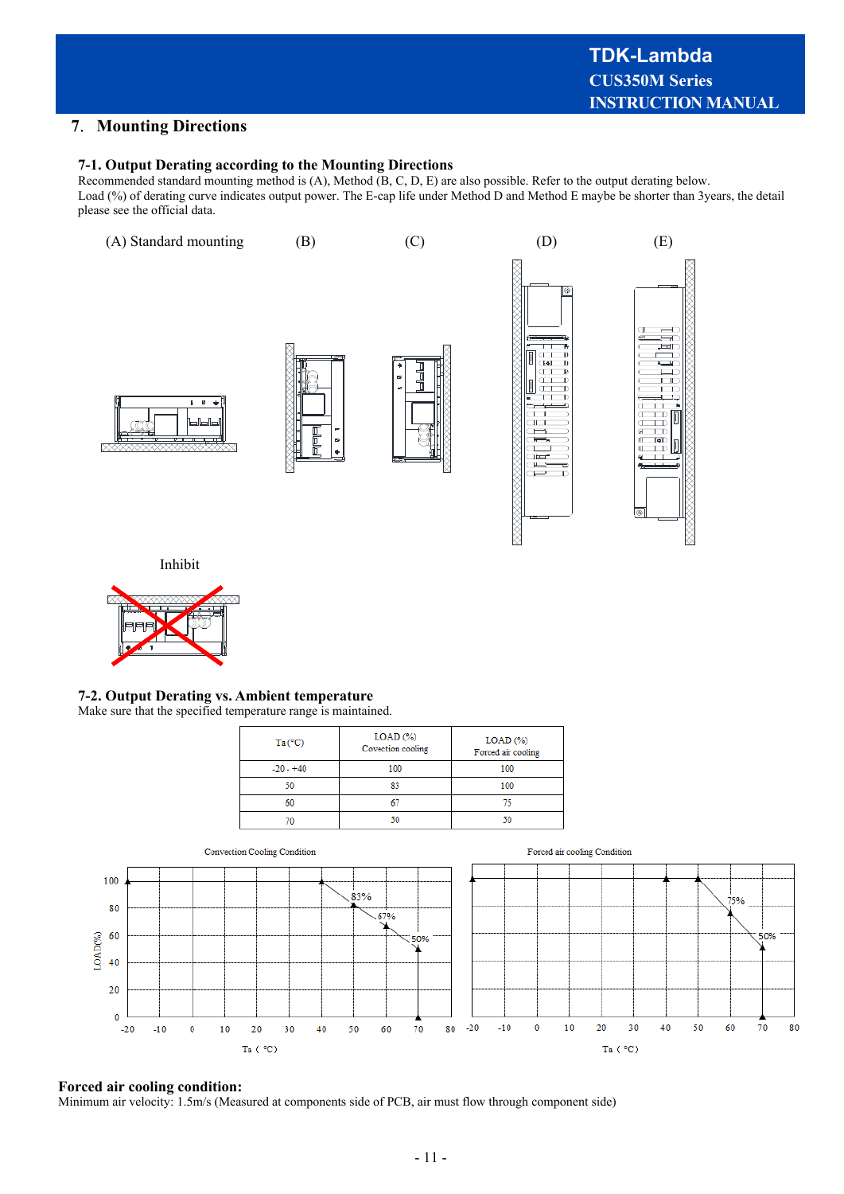⋙

# **7**.**Mounting Directions**

#### **7-1. Output Derating according to the Mounting Directions**

Recommended standard mounting method is (A), Method (B, C, D, E) are also possible. Refer to the output derating below. Load (%) of derating curve indicates output power. The E-cap life under Method D and Method E maybe be shorter than 3years, the detail please see the official data.



Inhibit



# **7-2. Output Derating vs. Ambient temperature**

#### Make sure that the specified temperature range is maintained.

| Ta (°C)     | $LOAD$ $%$<br>Covection cooling | $LOAD$ $(\%)$<br>Forced air cooling |  |
|-------------|---------------------------------|-------------------------------------|--|
| $-20 - +40$ | 100                             | 100                                 |  |
| 50          |                                 | 100                                 |  |
|             |                                 |                                     |  |
|             |                                 |                                     |  |



#### **Forced air cooling condition:**

Minimum air velocity: 1.5m/s (Measured at components side of PCB, air must flow through component side)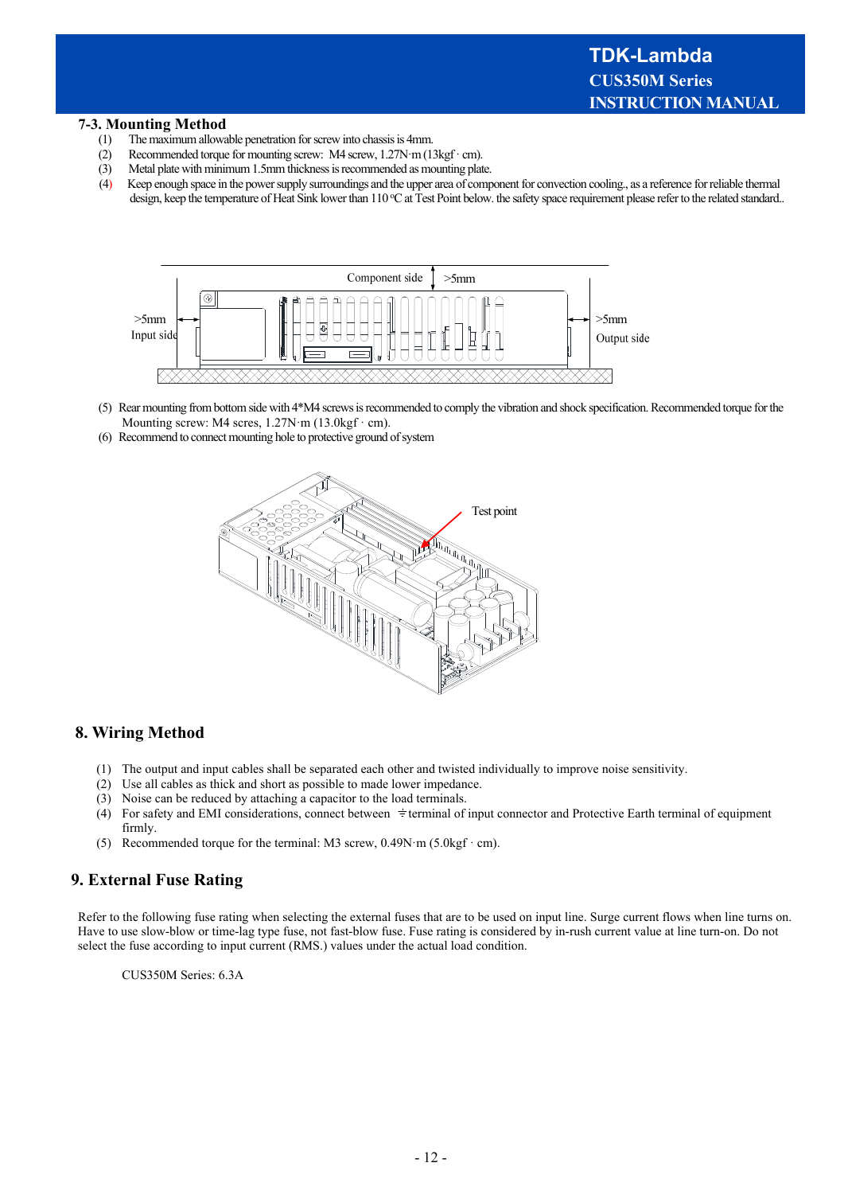#### **7-3. Mounting Method**

- (1) The maximum allowable penetration for screw into chassis is 4mm.
- (2) Recommended torque for mounting screw: M4 screw,  $1.27N·m(13kgf·cm)$ .
- (3) Metal plate with minimum 1.5mm thickness is recommended as mounting plate.
- (4) Keep enough space in the power supply surroundings and the upper area of component for convection cooling., as a reference for reliable thermal design, keep the temperature of Heat Sink lower than 110 °C at Test Point below. the safety space requirement please refer to the related standard..



- (5) Rear mounting from bottom side with 4\*M4 screws is recommended to comply the vibration and shock specification. Recommended torque for the Mounting screw: M4 scres, 1.27N·m (13.0kgf · cm).
- (6) Recommend to connect mounting hole to protective ground of system



# **8. Wiring Method**

- (1) The output and input cables shall be separated each other and twisted individually to improve noise sensitivity.
- (2) Use all cables as thick and short as possible to made lower impedance.
- (3) Noise can be reduced by attaching a capacitor to the load terminals.
- (4) For safety and EMI considerations, connect between  $\pm$  terminal of input connector and Protective Earth terminal of equipment firmly.
- (5) Recommended torque for the terminal: M3 screw,  $0.49N·m$  ( $5.0kgf·cm$ ).

# **9. External Fuse Rating**

Refer to the following fuse rating when selecting the external fuses that are to be used on input line. Surge current flows when line turns on. Have to use slow-blow or time-lag type fuse, not fast-blow fuse. Fuse rating is considered by in-rush current value at line turn-on. Do not select the fuse according to input current (RMS.) values under the actual load condition.

CUS350M Series: 6.3A